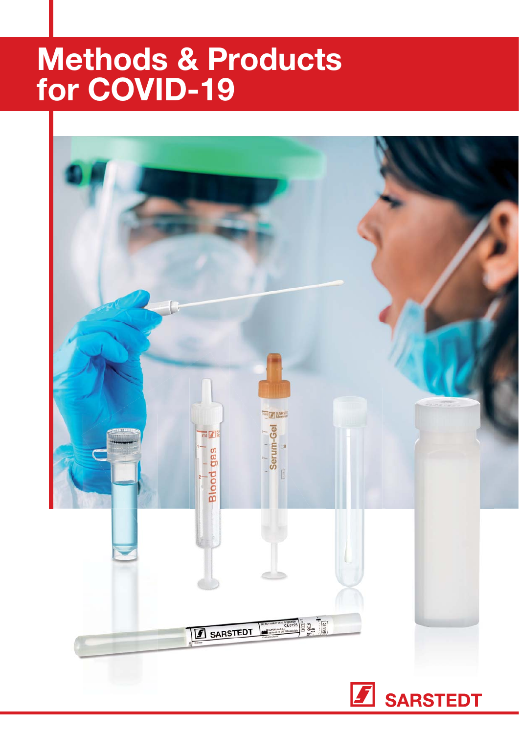# Methods & Products for COVID-19

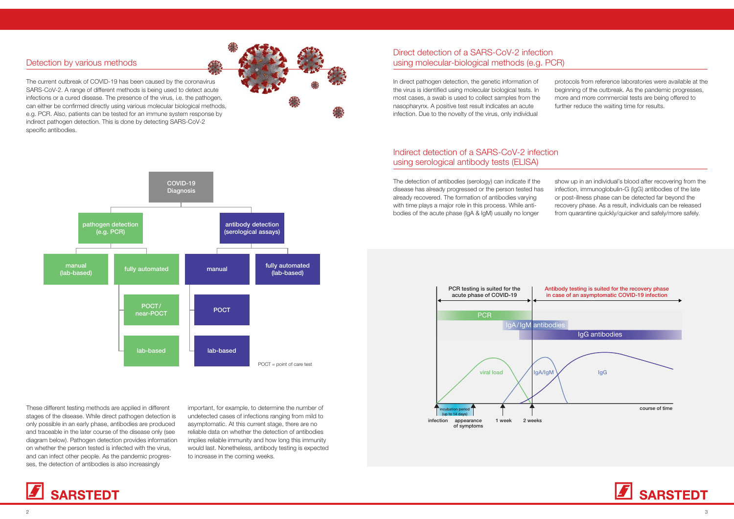The current outbreak of COVID-19 has been caused by the coronavirus SARS-CoV-2. A range of different methods is being used to detect acute infections or a cured disease. The presence of the virus, i.e. the pathogen, can either be confirmed directly using various molecular biological methods, e.g. PCR. Also, patients can be tested for an immune system response by indirect pathogen detection. This is done by detecting SARS-CoV-2 specific antibodies.

### Detection by various methods

In direct pathogen detection, the genetic information of the virus is identified using molecular biological tests. In most cases, a swab is used to collect samples from the nasopharynx. A positive test result indicates an acute infection. Due to the novelty of the virus, only individual

### Direct detection of a SARS-CoV-2 infection using molecular-biological methods (e.g. PCR)

### Indirect detection of a SARS-CoV-2 infection using serological antibody tests (ELISA)

The detection of antibodies (serology) can indicate if the disease has already progressed or the person tested has already recovered. The formation of antibodies varying with time plays a major role in this process. While antibodies of the acute phase (IgA & IgM) usually no longer





These different testing methods are applied in different stages of the disease. While direct pathogen detection is only possible in an early phase, antibodies are produced and traceable in the later course of the disease only (see diagram below). Pathogen detection provides information on whether the person tested is infected with the virus, and can infect other people. As the pandemic progresses, the detection of antibodies is also increasingly

important, for example, to determine the number of undetected cases of infections ranging from mild to asymptomatic. At this current stage, there are no reliable data on whether the detection of antibodies implies reliable immunity and how long this immunity would last. Nonetheless, antibody testing is expected to increase in the coming weeks.



protocols from reference laboratories were available at the beginning of the outbreak. As the pandemic progresses, more and more commercial tests are being offered to further reduce the waiting time for results.

show up in an individual's blood after recovering from the infection, immunoglobulin-G (IgG) antibodies of the late or post-illness phase can be detected far beyond the recovery phase. As a result, individuals can be released from quarantine quickly/quicker and safely/more safely.

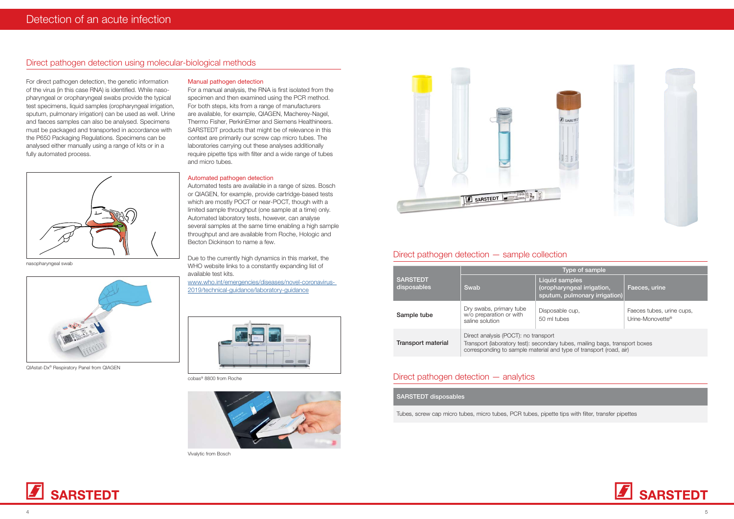### Direct pathogen detection using molecular-biological methods

For direct pathogen detection, the genetic information of the virus (in this case RNA) is identified. While nasopharyngeal or oropharyngeal swabs provide the typical test specimens, liquid samples (oropharyngeal irrigation, sputum, pulmonary irrigation) can be used as well. Urine and faeces samples can also be analysed. Specimens must be packaged and transported in accordance with the P650 Packaging Regulations. Specimens can be analysed either manually using a range of kits or in a fully automated process.



nasopharyngeal swab



QIAstat-Dx® Respiratory Panel from QIAGEN

For a manual analysis, the RNA is first isolated from the specimen and then examined using the PCR method. For both steps, kits from a range of manufacturers are available, for example, QIAGEN, Macherey-Nagel, Thermo Fisher, PerkinElmer and Siemens Healthineers. SARSTEDT products that might be of relevance in this context are primarily our screw cap micro tubes. The laboratories carrying out these analyses additionally require pipette tips with filter and a wide range of tubes and micro tubes.

#### Manual pathogen detection

#### Automated pathogen detection

Automated tests are available in a range of sizes. Bosch or QIAGEN, for example, provide cartridge-based tests which are mostly POCT or near-POCT, though with a limited sample throughput (one sample at a time) only. Automated laboratory tests, however, can analyse several samples at the same time enabling a high sample throughput and are available from Roche, Hologic and Becton Dickinson to name a few.

Due to the currently high dynamics in this market, the WHO website links to a constantly expanding list of available test kits.

www.who.int/emergencies/diseases/novel-coronavirus-2019/technical-guidance/laboratory-guidance



cobas® 8800 from Roche



Vivalytic from Bosch





## Direct pathogen detection  $-$  sample collection

|                                | Type of sample                                                                                                                                                                            |                                                                                      |                                               |  |
|--------------------------------|-------------------------------------------------------------------------------------------------------------------------------------------------------------------------------------------|--------------------------------------------------------------------------------------|-----------------------------------------------|--|
| <b>SARSTEDT</b><br>disposables | Swab                                                                                                                                                                                      | <b>Liquid samples</b><br>(oropharyngeal irrigation,<br>sputum, pulmonary irrigation) | Faeces, urine                                 |  |
| Sample tube                    | Dry swabs, primary tube<br>w/o preparation or with<br>saline solution                                                                                                                     | Disposable cup,<br>50 ml tubes                                                       | Faeces tubes, urine cups,<br>Urine-Monovette® |  |
| <b>Transport material</b>      | Direct analysis (POCT): no transport<br>Transport (laboratory test): secondary tubes, mailing bags, transport boxes<br>corresponding to sample material and type of transport (road, air) |                                                                                      |                                               |  |

#### Direct pathogen detection  $-$  analytics

SARSTEDT disposables

Tubes, screw cap micro tubes, micro tubes, PCR tubes, pipette tips with filter, transfer pipettes







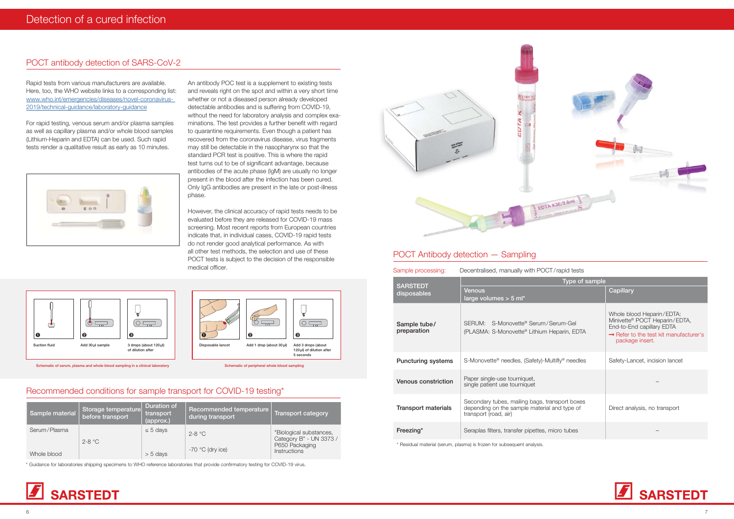# POCT antibody detection of SARS-CoV-2

Rapid tests from various manufacturers are available. Here, too, the WHO website links to a corresponding list: www.who.int/emergencies/diseases/novel-coronavirus-2019/technical-quidance/laboratory-quidance

For rapid testing, venous serum and/or plasma samples as well as capillary plasma and/or whole blood samples (Lithium-Heparin and EDTA) can be used. Such rapid tests render a qualitative result as early as 10 minutes.



An antibody POC test is a supplement to existing tests and reveals right on the spot and within a very short time whether or not a diseased person already developed detectable antibodies and is suffering from COVID-19, without the need for laboratory analysis and complex examinations. The test provides a further benefit with regard to quarantine requirements. Even though a patient has recovered from the coronavirus disease, virus fragments may still be detectable in the nasopharynx so that the standard PCR test is positive. This is where the rapid test turns out to be of significant advantage, because antibodies of the acute phase (IgM) are usually no longer present in the blood after the infection has been cured. Only IgG antibodies are present in the late or post-illness phase.

However, the clinical accuracy of rapid tests needs to be evaluated before they are released for COVID-19 mass screening. Most recent reports from European countries indicate that, in individual cases, COVID-19 rapid tests do not render good analytical performance. As with all other test methods, the selection and use of these POCT tests is subject to the decision of the responsible medical officer.

| Decentralised, manually with POCT/rapid tests<br>Sample processing: |                                                                                                                         |                                                                                                                                                                              |  |  |
|---------------------------------------------------------------------|-------------------------------------------------------------------------------------------------------------------------|------------------------------------------------------------------------------------------------------------------------------------------------------------------------------|--|--|
| <b>SARSTEDT</b><br>disposables                                      | Type of sample                                                                                                          |                                                                                                                                                                              |  |  |
|                                                                     | Venous<br>large volumes $> 5$ ml*                                                                                       | Capillary                                                                                                                                                                    |  |  |
| Sample tube/<br>preparation                                         | SERUM: S-Monovette® Serum/Serum-Gel<br>(PLASMA: S-Monovette® Lithium Heparin, EDTA                                      | Whole blood Heparin/EDTA:<br>Minivette <sup>®</sup> POCT Heparin/EDTA,<br>End-to-End capillary EDTA<br>$\rightarrow$ Refer to the test kit manufacturer's<br>package insert. |  |  |
| <b>Puncturing systems</b>                                           | S-Monovette <sup>®</sup> needles, (Safety)-Multifly <sup>®</sup> needles                                                | Safety-Lancet, incision lancet                                                                                                                                               |  |  |
| Venous constriction                                                 | Paper single-use tourniquet,<br>single patient use tourniquet                                                           |                                                                                                                                                                              |  |  |
| <b>Transport materials</b>                                          | Secondary tubes, mailing bags, transport boxes<br>depending on the sample material and type of<br>transport (road, air) | Direct analysis, no transport                                                                                                                                                |  |  |
| Freezing*                                                           | Seraplas filters, transfer pipettes, micro tubes                                                                        |                                                                                                                                                                              |  |  |

\* Residual material (serum, plasma) is frozen for subsequent analysis.







Schematic of serum, plasma and whole blood sampling in a clinical laboratory Schematic of peripheral whole blood sampling in a clinical laboratory Schematic of peripheral whole blood sampling

# Recommended conditions for sample transport for COVID-19 testing\*

| Sample material | Storage temperature<br>before transport | <b>Duration of</b><br>transport<br>(approx.) | Recommended temperature<br>during transport | Transport category                                 |
|-----------------|-----------------------------------------|----------------------------------------------|---------------------------------------------|----------------------------------------------------|
| Serum/Plasma    | $2 - 8$ °C                              | $\leq$ 5 days                                | $2-8$ °C                                    | "Biological substances,<br>Category B" - UN 3373 / |
| Whole blood     |                                         | $> 5$ days                                   | $-70$ °C (dry ice)                          | P650 Packaging<br><b>Instructions</b>              |

\* Guidance for laboratories shipping specimens to WHO reference laboratories that provide confirmatory testing for COVID-19 virus.





# POCT Antibody detection - Sampling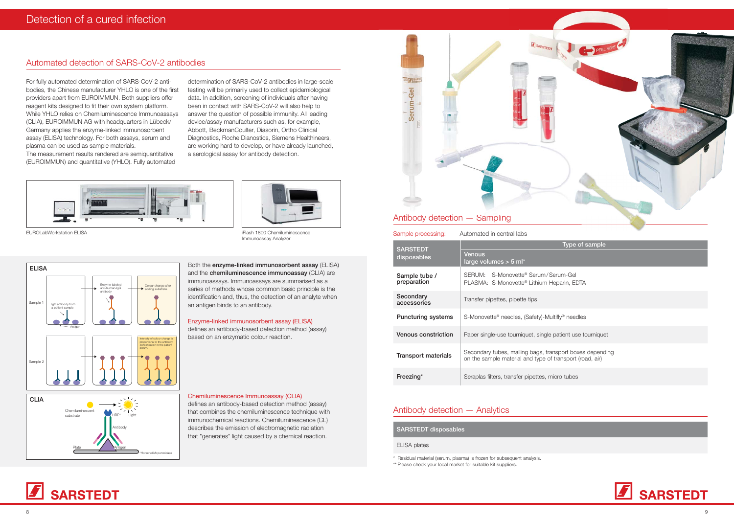# Automated detection of SARS-CoV-2 antibodies

For fully automated determination of SARS-CoV-2 antibodies, the Chinese manufacturer YHLO is one of the first providers apart from EUROIMMUN. Both suppliers offer reagent kits designed to fit their own system platform. While YHLO relies on Chemiluminescence Immunoassavs (CLIA), EUROIMMUN AG with headquarters in Lübeck/ Germany applies the enzyme-linked immunosorbent assay (ELISA) technology. For both assays, serum and plasma can be used as sample materials. The measurement results rendered are semiguantitative (EUROIMMUN) and quantitative (YHLO). Fully automated

determination of SARS-CoV-2 antibodies in large-scale testing will be primarily used to collect epidemiological data. In addition, screening of individuals after having been in contact with SARS-CoV-2 will also help to answer the question of possible immunity. All leading device/assay manufacturers such as, for example, Abbott, BeckmanCoulter, Diasorin, Ortho Clinical Diagnostics, Roche Dianostics, Siemens Healthineers, are working hard to develop, or have already launched, a serological assay for antibody detection.



FUROL abWorkstation FLISA

iFlash 1800 Chemiluminescence Immunoassay Analyzer



Both the enzyme-linked immunosorbent assay (ELISA) and the chemiluminescence immunoassay (CLIA) are immunoassays. Immunoassays are summarised as a series of methods whose common basic principle is the identification and, thus, the detection of an analyte when an antigen binds to an antibody.

#### Enzyme-linked immunosorbent assay (ELISA)

defines an antibody-based detection method (assay) based on an enzymatic colour reaction.

#### Chemiluminescence Immunoassay (CLIA)

defines an antibody-based detection method (assay) that combines the chemiluminescence technique with immunochemical reactions. Chemiluminescence (CL) describes the emission of electromagnetic radiation that "generates" light caused by a chemical reaction.



| Sample processing:             | Automated in central labs                                                 |  |  |  |
|--------------------------------|---------------------------------------------------------------------------|--|--|--|
| <b>SARSTEDT</b><br>disposables | Venous<br>large volumes $>$ 5 ml*                                         |  |  |  |
| Sample tube /<br>preparation   | SERUM: S-Monovette® Serum/Se<br>PLASMA: S-Monovette® Lithium He           |  |  |  |
| Secondary<br>accessories       | Transfer pipettes, pipette tips                                           |  |  |  |
| <b>Puncturing systems</b>      | S-Monovette <sup>®</sup> needles, (Safety)-Mul                            |  |  |  |
| Venous constriction            | Paper single-use tourniquet, single p                                     |  |  |  |
| <b>Transport materials</b>     | Secondary tubes, mailing bags, trar<br>on the sample material and type of |  |  |  |
| Freezing*                      | Seraplas filters, transfer pipettes, mi                                   |  |  |  |

### Antibody detection - Analytics

**SARSTEDT disposables** 

#### **ELISA** plates

\* Residual material (serum, plasma) is frozen for subsequent analysis. \*\* Please check your local market for suitable kit suppliers.



Type of sample

erum-Gel leparin, EDTA

**ultifly®** needles

patient use tourniquet

nsport boxes depending transport (road, air)

nicro tubes

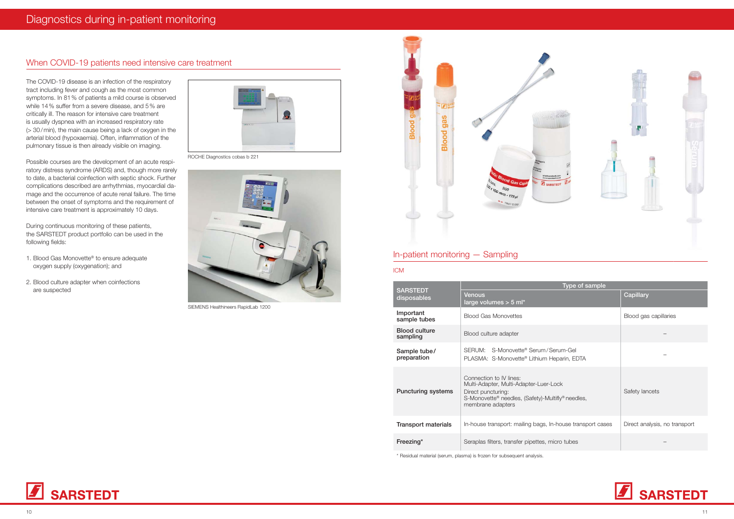The COVID-19 disease is an infection of the respiratory tract including fever and cough as the most common symptoms. In 81% of patients a mild course is observed while 14% suffer from a severe disease, and 5% are critically ill. The reason for intensive care treatment is usually dyspnea with an increased respiratory rate  $\approx$  30/min), the main cause being a lack of oxygen in the arterial blood (hypoxaemia). Often, inflammation of the pulmonary tissue is then already visible on imaging.

Possible courses are the development of an acute respiratory distress syndrome (ARDS) and, though more rarely to date, a bacterial coinfection with septic shock. Further complications described are arrhythmias, myocardial damage and the occurrence of acute renal failure. The time between the onset of symptoms and the requirement of intensive care treatment is approximately 10 days.

During continuous monitoring of these patients, the SARSTEDT product portfolio can be used in the following fields:

- 1. Blood Gas Monovette<sup>®</sup> to ensure adequate oxygen supply (oxygenation); and
- 2. Blood culture adapter when coinfections are suspected



ROCHE Diagnostics cobas b 221



SIEMENS Healthineers RapidLab 1200

# When COVID-19 patients need intensive care treatment

| <b>SARSTEDT</b><br>disposables   | Type of sample                                                                                                                                                                |                               |  |
|----------------------------------|-------------------------------------------------------------------------------------------------------------------------------------------------------------------------------|-------------------------------|--|
|                                  | <b>Venous</b><br>large volumes $>$ 5 ml*                                                                                                                                      | Capillary                     |  |
| Important<br>sample tubes        | <b>Blood Gas Monovettes</b>                                                                                                                                                   | Blood gas capillaries         |  |
| <b>Blood culture</b><br>sampling | Blood culture adapter                                                                                                                                                         |                               |  |
| Sample tube/<br>preparation      | SERUM: S-Monovette® Serum/Serum-Gel<br>PLASMA: S-Monovette® Lithium Heparin, EDTA                                                                                             |                               |  |
| <b>Puncturing systems</b>        | Connection to IV lines:<br>Multi-Adapter, Multi-Adapter-Luer-Lock<br>Direct puncturing:<br>S-Monovette <sup>®</sup> needles, (Safety)-Multifly® needles,<br>membrane adapters | Safety lancets                |  |
| Transport materials              | In-house transport: mailing bags, In-house transport cases                                                                                                                    | Direct analysis, no transport |  |
| Freezing*                        | Seraplas filters, transfer pipettes, micro tubes                                                                                                                              |                               |  |

\* Residual material (serum, plasma) is frozen for subsequent analysis.